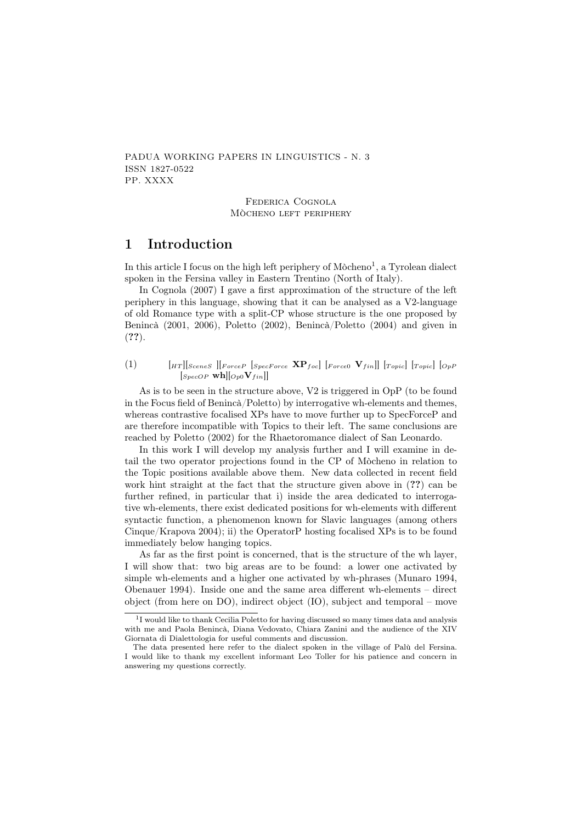PADUA WORKING PAPERS IN LINGUISTICS - N. 3 ISSN 1827-0522 PP. XXXX

> Federica Cognola Mòcheno left periphery

# 1 Introduction

In this article I focus on the high left periphery of Mòcheno<sup>1</sup>, a Tyrolean dialect spoken in the Fersina valley in Eastern Trentino (North of Italy).

In Cognola (2007) I gave a first approximation of the structure of the left periphery in this language, showing that it can be analysed as a V2-language of old Romance type with a split-CP whose structure is the one proposed by Benincà (2001, 2006), Poletto (2002), Benincà/Poletto (2004) and given in (??).

(1)  $[HT]$  [SceneS ][ForceP [SpecForce  $\mathbf{XP}_{foc}$ ] [Force0  $\mathbf{V}_{fin}$ ]] [Topic] [OpP  $[s_{pecOP}$  wh $|[_{Op0}V_{fin}]]$ 

As is to be seen in the structure above, V2 is triggered in OpP (to be found in the Focus field of Benincà/Poletto) by interrogative wh-elements and themes, whereas contrastive focalised XPs have to move further up to SpecForceP and are therefore incompatible with Topics to their left. The same conclusions are reached by Poletto (2002) for the Rhaetoromance dialect of San Leonardo.

In this work I will develop my analysis further and I will examine in detail the two operator projections found in the CP of Mòcheno in relation to the Topic positions available above them. New data collected in recent field work hint straight at the fact that the structure given above in  $(??)$  can be further refined, in particular that i) inside the area dedicated to interrogative wh-elements, there exist dedicated positions for wh-elements with different syntactic function, a phenomenon known for Slavic languages (among others Cinque/Krapova 2004); ii) the OperatorP hosting focalised XPs is to be found immediately below hanging topics.

As far as the first point is concerned, that is the structure of the wh layer, I will show that: two big areas are to be found: a lower one activated by simple wh-elements and a higher one activated by wh-phrases (Munaro 1994, Obenauer 1994). Inside one and the same area different wh-elements – direct object (from here on DO), indirect object (IO), subject and temporal – move

<sup>&</sup>lt;sup>1</sup>I would like to thank Cecilia Poletto for having discussed so many times data and analysis with me and Paola Benincà, Diana Vedovato, Chiara Zanini and the audience of the XIV Giornata di Dialettologia for useful comments and discussion.

The data presented here refer to the dialect spoken in the village of Palù del Fersina. I would like to thank my excellent informant Leo Toller for his patience and concern in answering my questions correctly.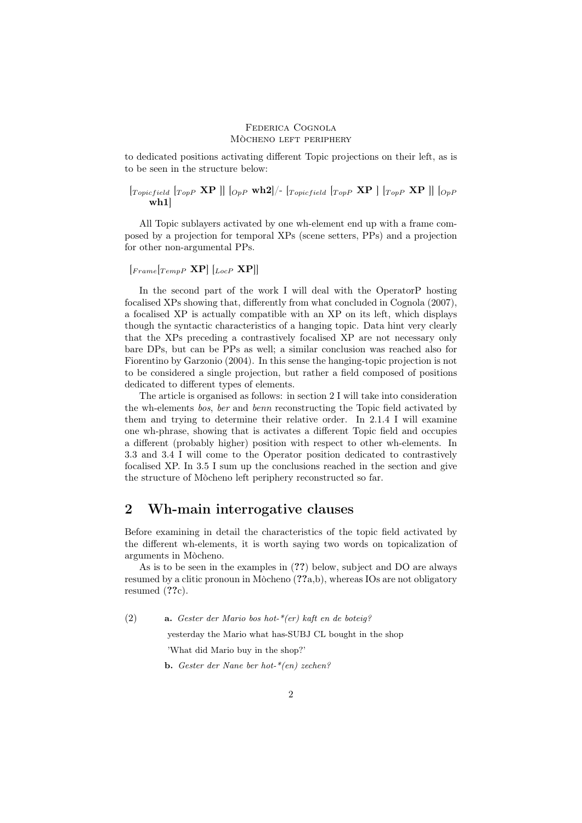to dedicated positions activating different Topic projections on their left, as is to be seen in the structure below:

$$
\begin{bmatrix} \textit{Topicfield} & \textit{TopP} & \textbf{XP} \end{bmatrix} \begin{bmatrix} \textit{OpP} & \textbf{wh2} \end{bmatrix} / - \begin{bmatrix} \textit{Topicfield} & \textit{TopP} & \textbf{XP} \end{bmatrix} \begin{bmatrix} \textit{TopP} & \textbf{XP} \end{bmatrix} \begin{bmatrix} \textit{OpP} & \textbf{NP} \end{bmatrix}
$$

All Topic sublayers activated by one wh-element end up with a frame composed by a projection for temporal XPs (scene setters, PPs) and a projection for other non-argumental PPs.

$$
[{}_{Frame} [{}_{TempP} \mathbf{XP}] \; [{}_{LocP} \; \mathbf{XP}]]
$$

In the second part of the work I will deal with the OperatorP hosting focalised XPs showing that, differently from what concluded in Cognola (2007), a focalised XP is actually compatible with an XP on its left, which displays though the syntactic characteristics of a hanging topic. Data hint very clearly that the XPs preceding a contrastively focalised XP are not necessary only bare DPs, but can be PPs as well; a similar conclusion was reached also for Fiorentino by Garzonio (2004). In this sense the hanging-topic projection is not to be considered a single projection, but rather a field composed of positions dedicated to different types of elements.

The article is organised as follows: in section 2 I will take into consideration the wh-elements bos, ber and benn reconstructing the Topic field activated by them and trying to determine their relative order. In 2.1.4 I will examine one wh-phrase, showing that is activates a different Topic field and occupies a different (probably higher) position with respect to other wh-elements. In 3.3 and 3.4 I will come to the Operator position dedicated to contrastively focalised XP. In 3.5 I sum up the conclusions reached in the section and give the structure of Mòcheno left periphery reconstructed so far.

# 2 Wh-main interrogative clauses

Before examining in detail the characteristics of the topic field activated by the different wh-elements, it is worth saying two words on topicalization of arguments in Mòcheno.

As is to be seen in the examples in (??) below, subject and DO are always resumed by a clitic pronoun in Mòcheno (??a,b), whereas IOs are not obligatory resumed  $(??c)$ .

(2) a. Gester der Mario bos hot-\*(er) kaft en de boteig?

yesterday the Mario what has-SUBJ CL bought in the shop

'What did Mario buy in the shop?'

b. Gester der Nane ber hot-\*(en) zechen?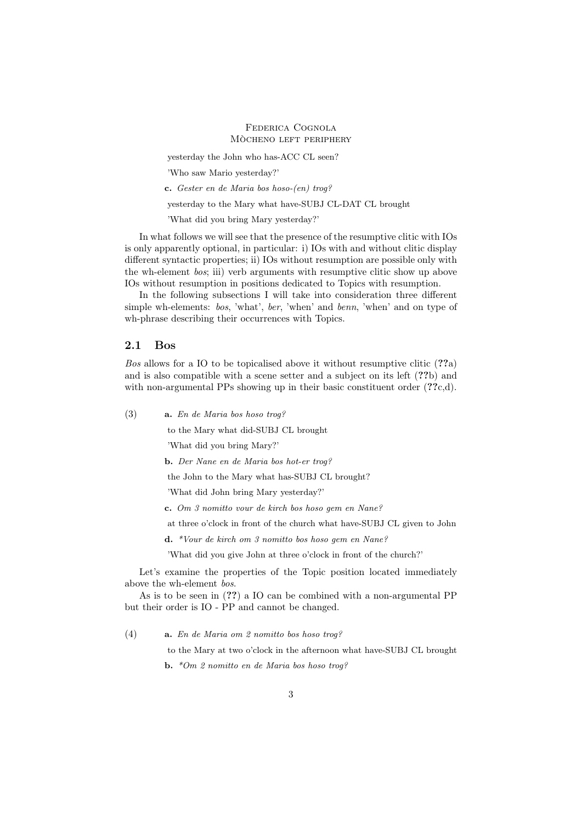yesterday the John who has-ACC CL seen?

'Who saw Mario yesterday?'

c. Gester en de Maria bos hoso-(en) trog?

yesterday to the Mary what have-SUBJ CL-DAT CL brought

'What did you bring Mary yesterday?'

In what follows we will see that the presence of the resumptive clitic with IOs is only apparently optional, in particular: i) IOs with and without clitic display different syntactic properties; ii) IOs without resumption are possible only with the wh-element bos; iii) verb arguments with resumptive clitic show up above IOs without resumption in positions dedicated to Topics with resumption.

In the following subsections I will take into consideration three different simple wh-elements: bos, 'what', ber, 'when' and benn, 'when' and on type of wh-phrase describing their occurrences with Topics.

### 2.1 Bos

Bos allows for a IO to be topicalised above it without resumptive clitic (??a) and is also compatible with a scene setter and a subject on its left (??b) and with non-argumental PPs showing up in their basic constituent order  $(??c,d)$ .

(3) a. En de Maria bos hoso trog?

to the Mary what did-SUBJ CL brought

'What did you bring Mary?'

b. Der Nane en de Maria bos hot-er trog?

the John to the Mary what has-SUBJ CL brought?

'What did John bring Mary yesterday?'

c. Om 3 nomitto vour de kirch bos hoso gem en Nane?

at three o'clock in front of the church what have-SUBJ CL given to John

d. \*Vour de kirch om 3 nomitto bos hoso gem en Nane?

'What did you give John at three o'clock in front of the church?'

Let's examine the properties of the Topic position located immediately above the wh-element bos.

As is to be seen in (??) a IO can be combined with a non-argumental PP but their order is IO - PP and cannot be changed.

(4) a. En de Maria om 2 nomitto bos hoso trog?

to the Mary at two o'clock in the afternoon what have-SUBJ CL brought b. \*Om 2 nomitto en de Maria bos hoso trog?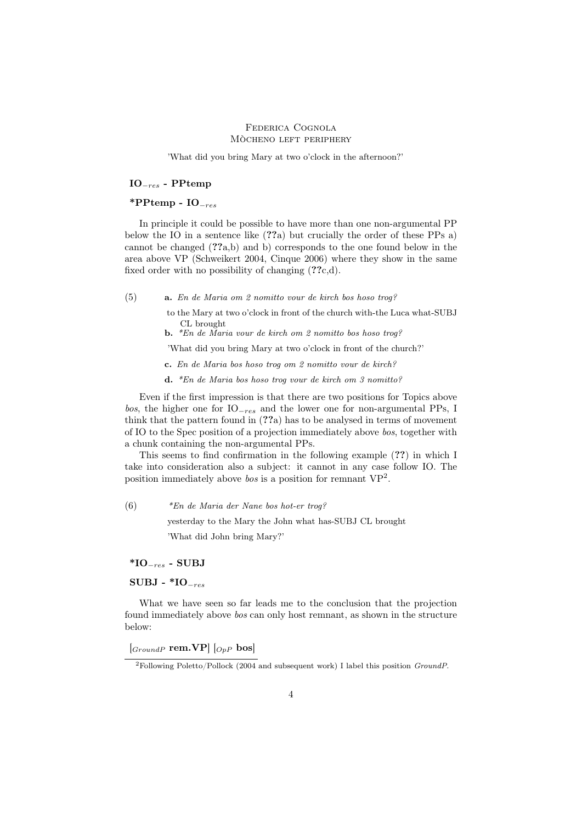'What did you bring Mary at two o'clock in the afternoon?'

## IO−res - PPtemp

## \*PPtemp -  $IO_{-res}$

In principle it could be possible to have more than one non-argumental PP below the IO in a sentence like (??a) but crucially the order of these PPs a) cannot be changed (??a,b) and b) corresponds to the one found below in the area above VP (Schweikert 2004, Cinque 2006) where they show in the same fixed order with no possibility of changing (??c,d).

(5) a. En de Maria om 2 nomitto vour de kirch bos hoso trog?

- to the Mary at two o'clock in front of the church with-the Luca what-SUBJ CL brought
- b. \*En de Maria vour de kirch om 2 nomitto bos hoso trog?

'What did you bring Mary at two o'clock in front of the church?'

- c. En de Maria bos hoso trog om 2 nomitto vour de kirch?
- d. \*En de Maria bos hoso trog vour de kirch om 3 nomitto?

Even if the first impression is that there are two positions for Topics above bos, the higher one for  $IO_{res}$  and the lower one for non-argumental PPs, I think that the pattern found in (??a) has to be analysed in terms of movement of IO to the Spec position of a projection immediately above bos, together with a chunk containing the non-argumental PPs.

This seems to find confirmation in the following example (??) in which I take into consideration also a subject: it cannot in any case follow IO. The position immediately above *bos* is a position for remnant  $VP^2$ .

(6) \*En de Maria der Nane bos hot-er trog?

yesterday to the Mary the John what has-SUBJ CL brought

'What did John bring Mary?'

\*IO<sup>−</sup>res - SUBJ

SUBJ -  $*$ IO<sub>−res</sub>

What we have seen so far leads me to the conclusion that the projection found immediately above bos can only host remnant, as shown in the structure below:

 $\left[\begin{smallmatrix}GroundP & \textbf{rem.}VP \end{smallmatrix}\right] \left[\begin{smallmatrix}OpP & \textbf{bos}\end{smallmatrix}\right]$ 

<sup>2</sup>Following Poletto/Pollock (2004 and subsequent work) I label this position GroundP.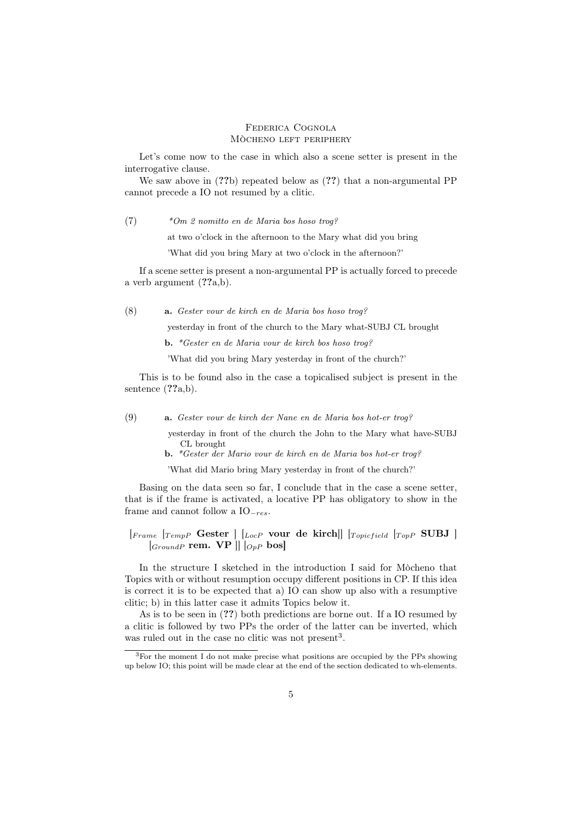Let's come now to the case in which also a scene setter is present in the interrogative clause.

We saw above in  $(??b)$  repeated below as  $(??)$  that a non-argumental PP cannot precede a IO not resumed by a clitic.

(7) \*Om 2 nomitto en de Maria bos hoso trog?

at two o'clock in the afternoon to the Mary what did you bring

'What did you bring Mary at two o'clock in the afternoon?'

If a scene setter is present a non-argumental PP is actually forced to precede a verb argument (??a,b).

(8) a. Gester vour de kirch en de Maria bos hoso trog?

yesterday in front of the church to the Mary what-SUBJ CL brought

b. \*Gester en de Maria vour de kirch bos hoso trog?

'What did you bring Mary yesterday in front of the church?'

This is to be found also in the case a topicalised subject is present in the sentence  $(??a,b)$ .

(9) a. Gester vour de kirch der Nane en de Maria bos hot-er trog?

yesterday in front of the church the John to the Mary what have-SUBJ CL brought

b. \*Gester der Mario vour de kirch en de Maria bos hot-er trog?

'What did Mario bring Mary yesterday in front of the church?'

Basing on the data seen so far, I conclude that in the case a scene setter, that is if the frame is activated, a locative PP has obligatory to show in the frame and cannot follow a IO<sup>−</sup>res.

 $\begin{bmatrix} F \text{rame} & T \text{emp} \end{bmatrix}$  Gester  $\begin{bmatrix} L_{ocP} & \text{your de kirch} \end{bmatrix}$   $\begin{bmatrix} T_{\text{opicfield}} & T_{\text{opP}} \end{bmatrix}$  SUBJ  $[G_{roundP}$  rem.  $VP$   $||$   $|_{OpP}$  bos

In the structure I sketched in the introduction I said for Mòcheno that Topics with or without resumption occupy different positions in CP. If this idea is correct it is to be expected that a) IO can show up also with a resumptive clitic; b) in this latter case it admits Topics below it.

As is to be seen in (??) both predictions are borne out. If a IO resumed by a clitic is followed by two PPs the order of the latter can be inverted, which was ruled out in the case no clitic was not present<sup>3</sup>.

<sup>&</sup>lt;sup>3</sup>For the moment I do not make precise what positions are occupied by the PPs showing up below IO; this point will be made clear at the end of the section dedicated to wh-elements.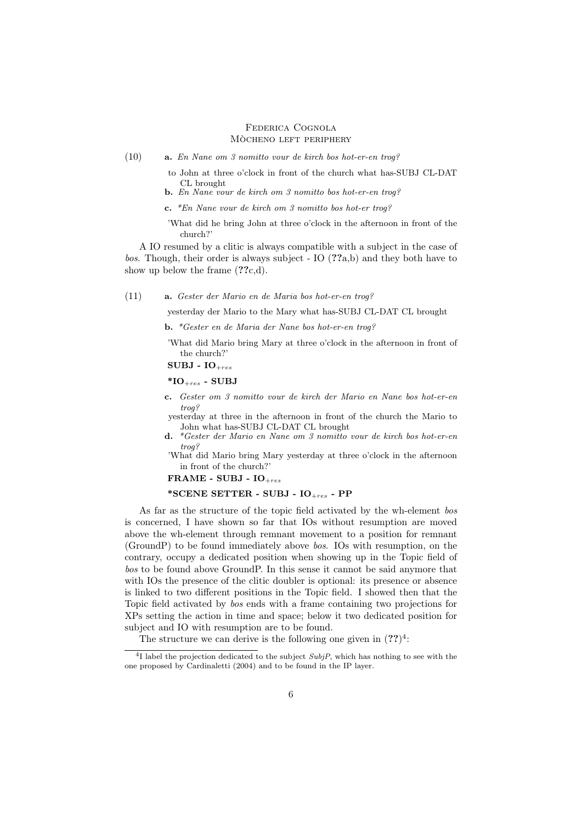(10) a. En Nane om 3 nomitto vour de kirch bos hot-er-en trog?

to John at three o'clock in front of the church what has-SUBJ CL-DAT CL brought

- b. En Nane vour de kirch om 3 nomitto bos hot-er-en trog?
- c. \*En Nane vour de kirch om 3 nomitto bos hot-er trog?

'What did he bring John at three o'clock in the afternoon in front of the church?'

A IO resumed by a clitic is always compatible with a subject in the case of bos. Though, their order is always subject - IO  $(??a,b)$  and they both have to show up below the frame  $(??c,d)$ .

(11) a. Gester der Mario en de Maria bos hot-er-en trog?

yesterday der Mario to the Mary what has-SUBJ CL-DAT CL brought

b. \*Gester en de Maria der Nane bos hot-er-en trog?

'What did Mario bring Mary at three o'clock in the afternoon in front of the church?'

SUBJ -  $IO<sub>+res</sub>$ 

 $*$ IO<sub>+res</sub> - SUBJ

c. Gester om 3 nomitto vour de kirch der Mario en Nane bos hot-er-en trog?

yesterday at three in the afternoon in front of the church the Mario to John what has-SUBJ CL-DAT CL brought

d. \*Gester der Mario en Nane om 3 nomitto vour de kirch bos hot-er-en trog?

'What did Mario bring Mary yesterday at three o'clock in the afternoon in front of the church?'

FRAME - SUBJ -  $IO<sub>+res</sub>$ 

## \*SCENE SETTER - SUBJ -  $IO<sub>+res</sub>$  - PP

As far as the structure of the topic field activated by the wh-element bos is concerned, I have shown so far that IOs without resumption are moved above the wh-element through remnant movement to a position for remnant (GroundP) to be found immediately above bos. IOs with resumption, on the contrary, occupy a dedicated position when showing up in the Topic field of bos to be found above GroundP. In this sense it cannot be said anymore that with IOs the presence of the clitic doubler is optional: its presence or absence is linked to two different positions in the Topic field. I showed then that the Topic field activated by bos ends with a frame containing two projections for XPs setting the action in time and space; below it two dedicated position for subject and IO with resumption are to be found.

The structure we can derive is the following one given in  $(??)^4$ :

 $4$ I label the projection dedicated to the subject  $SubjP$ , which has nothing to see with the one proposed by Cardinaletti (2004) and to be found in the IP layer.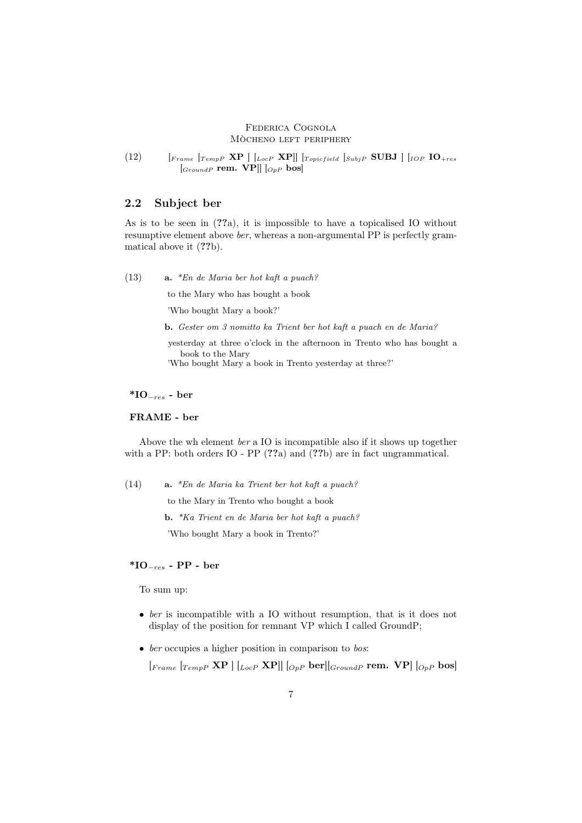(12)  $\left[$   $\left[$   $\right]$   $\left[$   $\left[$   $\right]$   $\left[$   $\left[$   $\right]$   $\left[$   $\right]$   $\left[$   $\left[$   $\right]$   $\left[$   $\right]$   $\left[$   $\right]$   $\left[$   $\left[$   $\right]$   $\left[$   $\left[$   $\right]$   $\left[$   $\left[$   $\right]$   $\left[$   $\left[$   $\right]$   $\left[$   $\left[$   $\right]$   $\left[$   $\left[$   $\right]$   $\begin{bmatrix} \text{GroundP} & \text{rem.} & \text{VP} \end{bmatrix} \begin{bmatrix} \text{O}_{pP} & \text{bos} \end{bmatrix}$ 

# 2.2 Subject ber

As is to be seen in (??a), it is impossible to have a topicalised IO without resumptive element above ber, whereas a non-argumental PP is perfectly grammatical above it  $(??b)$ .

(13) a. \*En de Maria ber hot kaft a puach?

to the Mary who has bought a book

'Who bought Mary a book?'

b. Gester om 3 nomitto ka Trient ber hot kaft a puach en de Maria?

yesterday at three o'clock in the afternoon in Trento who has bought a book to the Mary

'Who bought Mary a book in Trento yesterday at three?'

# \*IO<sub> $-res$ </sub> - ber

# FRAME - ber

Above the wh element ber a IO is incompatible also if it shows up together with a PP: both orders IO - PP (??a) and (??b) are in fact ungrammatical.

(14) a. \*En de Maria ka Trient ber hot kaft a puach? to the Mary in Trento who bought a book b. \*Ka Trient en de Maria ber hot kaft a puach? 'Who bought Mary a book in Trento?'

# \*IO<sub> $-res$ </sub> - PP - ber

To sum up:

- ber is incompatible with a IO without resumption, that is it does not display of the position for remnant VP which I called GroundP;
- ber occupies a higher position in comparison to bos:

 $[Frame [Temp P \; XP] [Loc P \; XP]] [Op P \; ber] [Group P \; rem. \; VP] [Op P \; bos]$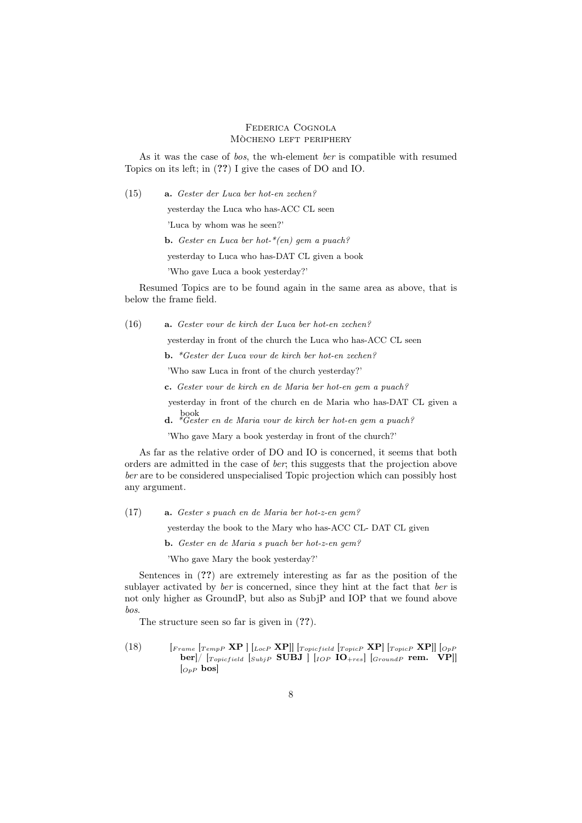As it was the case of bos, the wh-element ber is compatible with resumed Topics on its left; in (??) I give the cases of DO and IO.

(15) a. Gester der Luca ber hot-en zechen?

yesterday the Luca who has-ACC CL seen

'Luca by whom was he seen?'

**b.** Gester en Luca ber hot- $*(en)$  gem a puach?

yesterday to Luca who has-DAT CL given a book

'Who gave Luca a book yesterday?'

Resumed Topics are to be found again in the same area as above, that is below the frame field.

(16) a. Gester vour de kirch der Luca ber hot-en zechen?

yesterday in front of the church the Luca who has-ACC CL seen

b. \*Gester der Luca vour de kirch ber hot-en zechen?

'Who saw Luca in front of the church yesterday?'

c. Gester vour de kirch en de Maria ber hot-en gem a puach?

yesterday in front of the church en de Maria who has-DAT CL given a

book d. \*Gester en de Maria vour de kirch ber hot-en gem a puach?

'Who gave Mary a book yesterday in front of the church?'

As far as the relative order of DO and IO is concerned, it seems that both orders are admitted in the case of ber; this suggests that the projection above ber are to be considered unspecialised Topic projection which can possibly host any argument.

(17) a. Gester s puach en de Maria ber hot-z-en gem?

yesterday the book to the Mary who has-ACC CL- DAT CL given

b. Gester en de Maria s puach ber hot-z-en gem?

'Who gave Mary the book yesterday?'

Sentences in (??) are extremely interesting as far as the position of the sublayer activated by *ber* is concerned, since they hint at the fact that *ber* is not only higher as GroundP, but also as SubjP and IOP that we found above bos.

The structure seen so far is given in  $(??)$ .

(18)  $\left[ F_{rame} \left[ T_{emp} P \mathbf{X} P \right] \right] \left[_{LocP} \mathbf{X} P \right] \left[ T_{opicfield} \left[ T_{opic} P \mathbf{X} P \right] \right] \left[_{OpP} \right]$  $\textbf{ber}$  |  $\left[\textcolor{red}{Topicfield}\right.$   $\textcolor{red}{\left[\textcolor{red}{SubjP}\right.}\textbf{SUBJ}\left.\right]$   $\textcolor{red}{\left[\textcolor{red}{IOP}\right.}\textbf{IO}_{+res}\right]$   $\textcolor{red}{\left[\textcolor{red}{GroundP}\right.}\textbf{rem.}\left.\textcolor{red}{\left[\textcolor{red}{VP}\right]}\right]$  $\left[_{OpP}$  bos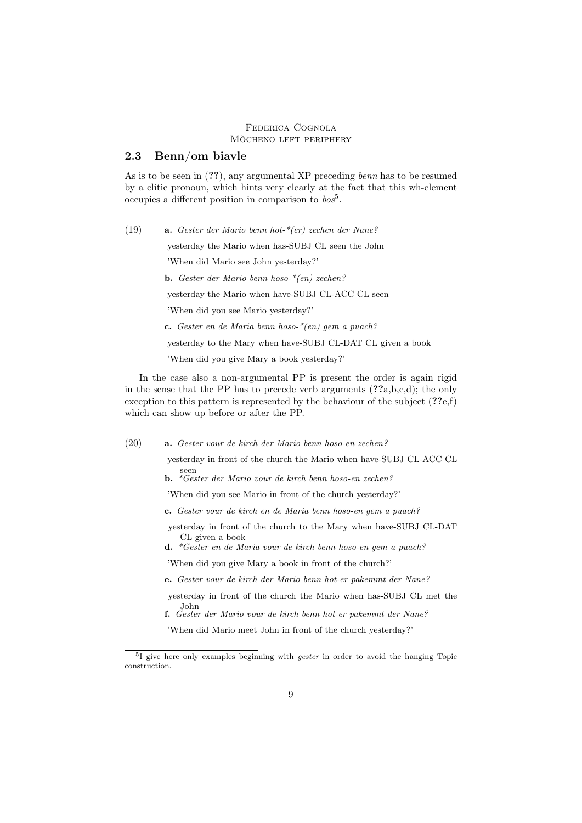# 2.3 Benn/om biavle

As is to be seen in (??), any argumental XP preceding *benn* has to be resumed by a clitic pronoun, which hints very clearly at the fact that this wh-element occupies a different position in comparison to  $\textit{bos}^5$ .

(19) a. Gester der Mario benn hot-\*(er) zechen der Nane? yesterday the Mario when has-SUBJ CL seen the John 'When did Mario see John yesterday?' b. Gester der Mario benn hoso-\*(en) zechen? yesterday the Mario when have-SUBJ CL-ACC CL seen 'When did you see Mario yesterday?' c. Gester en de Maria benn hoso- $*(en)$  gem a puach? yesterday to the Mary when have-SUBJ CL-DAT CL given a book

'When did you give Mary a book yesterday?'

In the case also a non-argumental PP is present the order is again rigid in the sense that the PP has to precede verb arguments  $(??a,b,c,d)$ ; the only exception to this pattern is represented by the behaviour of the subject  $(??e,f)$ which can show up before or after the PP.

(20) a. Gester vour de kirch der Mario benn hoso-en zechen?

yesterday in front of the church the Mario when have-SUBJ CL-ACC CL seen

b. \*Gester der Mario vour de kirch benn hoso-en zechen?

'When did you see Mario in front of the church yesterday?'

c. Gester vour de kirch en de Maria benn hoso-en gem a puach?

yesterday in front of the church to the Mary when have-SUBJ CL-DAT CL given a book

d. \*Gester en de Maria vour de kirch benn hoso-en gem a puach?

'When did you give Mary a book in front of the church?'

e. Gester vour de kirch der Mario benn hot-er pakemmt der Nane?

yesterday in front of the church the Mario when has-SUBJ CL met the John

f. Gester der Mario vour de kirch benn hot-er pakemmt der Nane?

'When did Mario meet John in front of the church yesterday?'

<sup>&</sup>lt;sup>5</sup>I give here only examples beginning with *gester* in order to avoid the hanging Topic construction.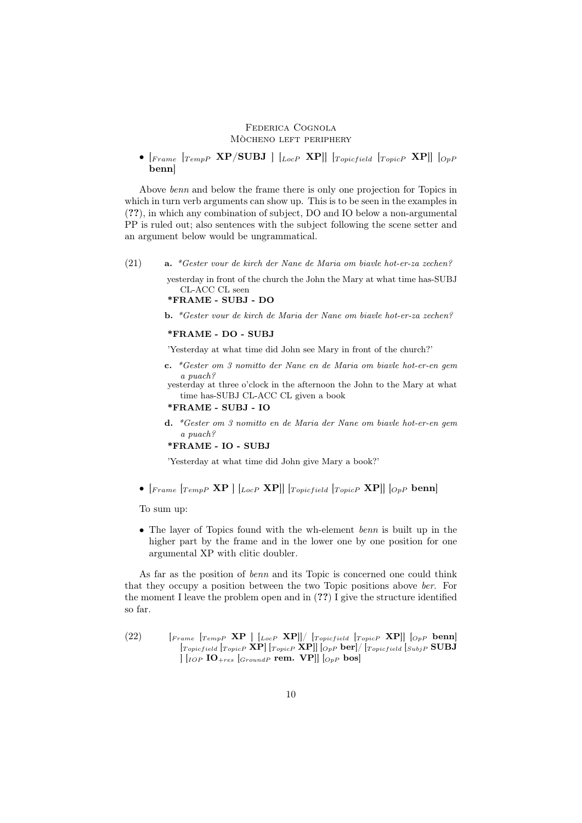•  $[{}_{Frame}$   $[r_{cmpP}$   $XP/SUBJ$   $[{}_{LocP}$   $XP$  $]$   $[r_{opicfield}$   $[r_{opicP}$   $XP$  $]$   $[{}_{OpP}$ benn]

Above benn and below the frame there is only one projection for Topics in which in turn verb arguments can show up. This is to be seen in the examples in (??), in which any combination of subject, DO and IO below a non-argumental PP is ruled out; also sentences with the subject following the scene setter and an argument below would be ungrammatical.

(21) a. \*Gester vour de kirch der Nane de Maria om biavle hot-er-za zechen?

yesterday in front of the church the John the Mary at what time has-SUBJ CL-ACC CL seen

```
*FRAME - SUBJ - DO
```
b. \*Gester vour de kirch de Maria der Nane om biavle hot-er-za zechen?

#### \*FRAME - DO - SUBJ

'Yesterday at what time did John see Mary in front of the church?'

c. \*Gester om 3 nomitto der Nane en de Maria om biavle hot-er-en gem a puach?

yesterday at three o'clock in the afternoon the John to the Mary at what time has-SUBJ CL-ACC CL given a book

## \*FRAME - SUBJ - IO

d. \*Gester om 3 nomitto en de Maria der Nane om biavle hot-er-en gem a puach?

#### \*FRAME - IO - SUBJ

'Yesterday at what time did John give Mary a book?'

•  $[{}_{Frame}$   $[r_{cmp}$   $XP$   $|$   $[I_{ocP}$   $XP$  $||$   $[r_{opicfield}$   $[r_{opicP}$   $XP$  $||$   $[{}_{OpP}$  benn

To sum up:

• The layer of Topics found with the wh-element *benn* is built up in the higher part by the frame and in the lower one by one position for one argumental XP with clitic doubler.

As far as the position of benn and its Topic is concerned one could think that they occupy a position between the two Topic positions above ber. For the moment I leave the problem open and in (??) I give the structure identified so far.

 $(22)$  [Frame [TempP XP ] [LocP XP]]/ [Topicfield [TopicP XP]] [OpP benn]  $[T_{\text{projectied}} |_{\text{Topic}P} \text{ XP}]$   $[T_{\text{opic}} \text{ XP}]$   $[O_{pP} \text{ ber}]/[T_{\text{projectied}} |_{\text{Subject}P} \text{ SUBJ}]$  $\left[\right.$   $\left[\right.$   $\left[\right.$   $\left[\right. 0$   $\right. 0$   $\left.\right. 0$   $\left.\left\{F\right\}$   $\left[\right. 0$   $\left.\left\{F\right\}$   $\left.\left\{O_{P}\right\}$   $\right.$   $\left.\left\{O_{P}\right\}$   $\left.\right. 0$   $\left.\left\{O_{P}\right\}$   $\right.$   $\left.\left\{O_{P}\right\}$   $\left.\right. 0$   $\left.\left\{O_{P}\right\}$   $\right.$   $\left.\left\{O_{P}\right\$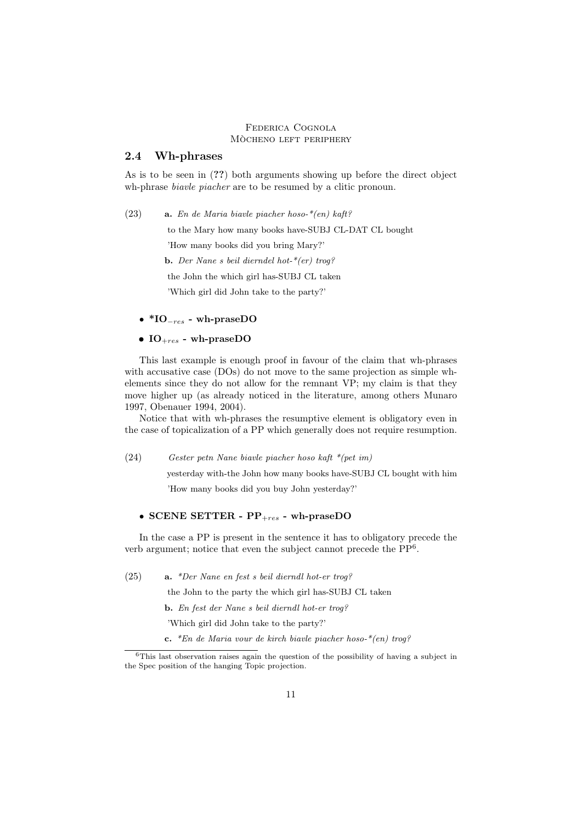# 2.4 Wh-phrases

As is to be seen in (??) both arguments showing up before the direct object wh-phrase *biavle piacher* are to be resumed by a clitic pronoun.

(23) **a.** En de Maria biavle piacher hoso- $*(en)$  kaft?

to the Mary how many books have-SUBJ CL-DAT CL bought

'How many books did you bring Mary?'

**b.** Der Nane s beil dierndel hot- $*(er)$  trog?

the John the which girl has-SUBJ CL taken

'Which girl did John take to the party?'

- $*IO_{-res}$  wh-praseDO
- $IO<sub>+res</sub>$  wh-praseDO

This last example is enough proof in favour of the claim that wh-phrases with accusative case (DOs) do not move to the same projection as simple whelements since they do not allow for the remnant VP; my claim is that they move higher up (as already noticed in the literature, among others Munaro 1997, Obenauer 1994, 2004).

Notice that with wh-phrases the resumptive element is obligatory even in the case of topicalization of a PP which generally does not require resumption.

### (24) Gester petn Nane biavle piacher hoso kaft \*(pet im)

yesterday with-the John how many books have-SUBJ CL bought with him 'How many books did you buy John yesterday?'

#### • SCENE SETTER -  $PP_{+res}$  - wh-praseDO

In the case a PP is present in the sentence it has to obligatory precede the verb argument; notice that even the subject cannot precede the PP<sup>6</sup> .

(25) a. \*Der Nane en fest s beil dierndl hot-er trog?

the John to the party the which girl has-SUBJ CL taken

b. En fest der Nane s beil dierndl hot-er trog?

'Which girl did John take to the party?'

c. \*En de Maria vour de kirch biavle piacher hoso- $*(en)$  troq?

<sup>6</sup>This last observation raises again the question of the possibility of having a subject in the Spec position of the hanging Topic projection.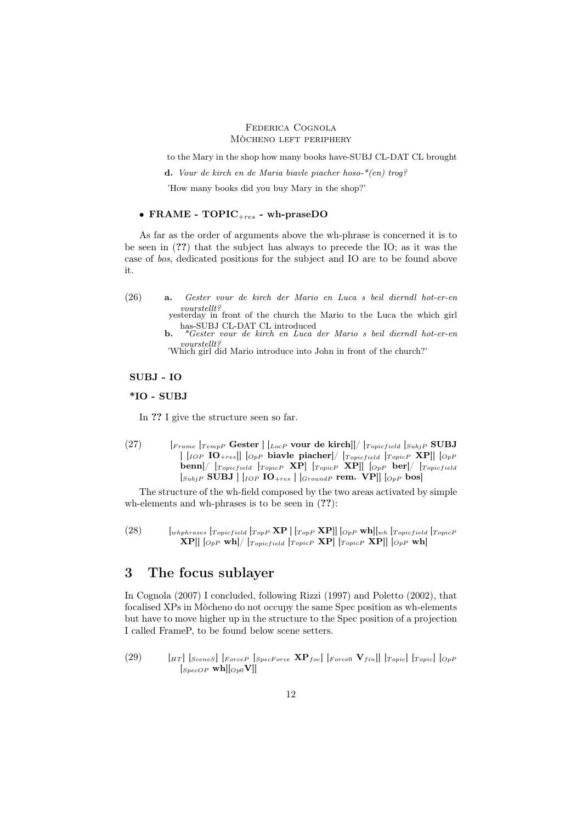to the Mary in the shop how many books have-SUBJ CL-DAT CL brought

d. Vour de kirch en de Maria biavle piacher hoso- $*(en)$  troq?

'How many books did you buy Mary in the shop?'

# • FRAME -  $TOPIC_{+res}$  - wh-praseDO

As far as the order of arguments above the wh-phrase is concerned it is to be seen in (??) that the subject has always to precede the IO; as it was the case of bos, dedicated positions for the subject and IO are to be found above it.

(26) a. Gester vour de kirch der Mario en Luca s beil dierndl hot-er-en vourstellt? yesterday in front of the church the Mario to the Luca the which girl

has-SUBJ CL-DAT CL introduced b. \*Gester vour de kirch en Luca der Mario s beil dierndl hot-er-en

vourstellt? 'Which girl did Mario introduce into John in front of the church?'

## SUBJ - IO

#### \*IO - SUBJ

In ?? I give the structure seen so far.

(27)  $\left[ r_{rame}\right. \left[ r_{emp}$  Gester  $\right] \left[ l_{loc}$  vour de kirch]]/  $\left[ r_{opicfield}\right. \left[ s_{ubj}$  SUBJ  $\left[\begin{array}{cc} [IO_P \text{ IO-1]}\quad [O_{PP} \text{ ba}$ vle piacher $] / [Top_{} \text{ro}-1] \quad [Top_{PP} \text{ X} \text{P}] \end{array} \right]$  $\lbrack \text{benn} \rbrack / \; \lbrack_{Topic} \rbrack / \; \lbrack_{TopicP} \; \; \textbf{XP} \rbrack / \; \lbrack_{Topic} \; \text{for} \; \rbrack / \; \lbrack_{Topic} \; \rbrack$  $[S_{ubjP}$  SUBJ  $|$   $|_{IOP}$  IO<sub>+res</sub>  $|$   $|_{GroundP}$  rem. VP $|$   $|_{OpP}$  bos

The structure of the wh-field composed by the two areas activated by simple wh-elements and wh-phrases is to be seen in  $(??)$ :

(28)  $\left[\begin{array}{cc} [w_{hphrases} & [T_{opicfield} & [T_{opp} \,\mathbf{XP} ] [T_{opp} \,\mathbf{XP}]] [0_{pP} \,\mathbf{wh}]]_{wh} [T_{opicfield} & [T_{opicP} \end{array} \right]$  $\mathbf{X} \mathbf{P} \begin{bmatrix} \begin{bmatrix} \begin{bmatrix} \begin{bmatrix} \begin{bmatrix} \begin{bmatrix} \begin{bmatrix} \begin{bmatrix} \begin{bmatrix} \begin{bmatrix} \begin{bmatrix} \begin{bmatrix} \begin{bmatrix} \begin{bmatrix} \begin{bmatrix} \begin{bmatrix} \begin{bmatrix} \begin{bmatrix} \begin{bmatrix} \begin{bmatrix} \begin{bmatrix} \begin{bmatrix} \begin{bmatrix} \begin{bmatrix} \begin{bmatrix} \begin{bmatrix} \begin{bmatrix} \begin{bmatrix} \begin{bmatrix} \begin{bmatrix} \begin{bmatrix} \begin{bmatrix} \begin{bmatrix} \begin{bmatrix} \begin{b$ 

# 3 The focus sublayer

In Cognola (2007) I concluded, following Rizzi (1997) and Poletto (2002), that focalised XPs in Mòcheno do not occupy the same Spec position as wh-elements but have to move higher up in the structure to the Spec position of a projection I called FrameP, to be found below scene setters.

(29)  $\left[HT\right]$  [SceneS]  $\left[ForceP\right]$  [SpecForce  $\mathbf{XP}_{foc}$ ]  $\left[ForceO\right]$   $\left[TopP\right]$   $\left[TopP\right]$  $\left[\begin{matrix}S_{pecOP} \textbf{wh}\end{matrix}\right]$  $\left[\begin{matrix}O_{p0}V\end{matrix}\right]$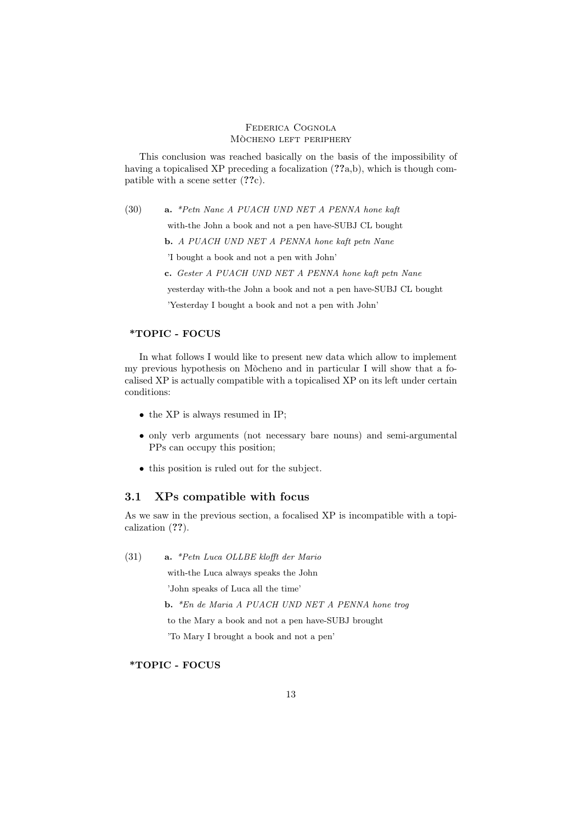This conclusion was reached basically on the basis of the impossibility of having a topicalised XP preceding a focalization  $(??a,b)$ , which is though compatible with a scene setter (??c).

(30) a. \*Petn Nane A PUACH UND NET A PENNA hone kaft

with-the John a book and not a pen have-SUBJ CL bought

b. A PUACH UND NET A PENNA hone kaft petn Nane

'I bought a book and not a pen with John'

c. Gester A PUACH UND NET A PENNA hone kaft petn Nane

yesterday with-the John a book and not a pen have-SUBJ CL bought

'Yesterday I bought a book and not a pen with John'

#### \*TOPIC - FOCUS

In what follows I would like to present new data which allow to implement my previous hypothesis on Mòcheno and in particular I will show that a focalised XP is actually compatible with a topicalised XP on its left under certain conditions:

- the XP is always resumed in IP:
- only verb arguments (not necessary bare nouns) and semi-argumental PPs can occupy this position;
- this position is ruled out for the subject.

# 3.1 XPs compatible with focus

As we saw in the previous section, a focalised XP is incompatible with a topicalization (??).

(31) a. \*Petn Luca OLLBE klofft der Mario with-the Luca always speaks the John 'John speaks of Luca all the time' b. \*En de Maria A PUACH UND NET A PENNA hone trog

to the Mary a book and not a pen have-SUBJ brought

'To Mary I brought a book and not a pen'

# \*TOPIC - FOCUS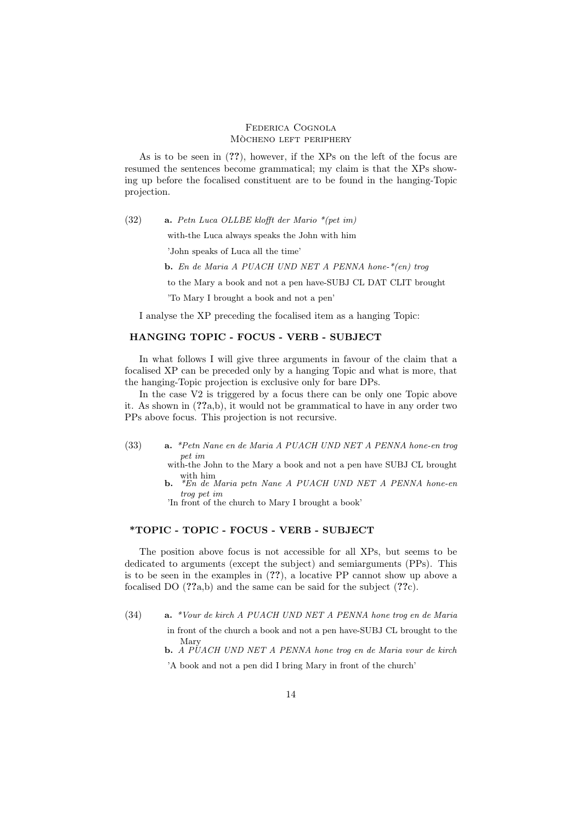As is to be seen in (??), however, if the XPs on the left of the focus are resumed the sentences become grammatical; my claim is that the XPs showing up before the focalised constituent are to be found in the hanging-Topic projection.

(32) a. Petn Luca OLLBE klofft der Mario \*(pet im)

with-the Luca always speaks the John with him

'John speaks of Luca all the time'

b. En de Maria A PUACH UND NET A PENNA hone-\*(en) trog

to the Mary a book and not a pen have-SUBJ CL DAT CLIT brought

'To Mary I brought a book and not a pen'

I analyse the XP preceding the focalised item as a hanging Topic:

# HANGING TOPIC - FOCUS - VERB - SUBJECT

In what follows I will give three arguments in favour of the claim that a focalised XP can be preceded only by a hanging Topic and what is more, that the hanging-Topic projection is exclusive only for bare DPs.

In the case V2 is triggered by a focus there can be only one Topic above it. As shown in (??a,b), it would not be grammatical to have in any order two PPs above focus. This projection is not recursive.

(33) a. \*Petn Nane en de Maria A PUACH UND NET A PENNA hone-en trog pet im

with-the John to the Mary a book and not a pen have SUBJ CL brought with him<br> **b.** \*En de Maria petn Nane A PUACH UND NET A PENNA hone-en

trog pet im

'In front of the church to Mary I brought a book'

# \*TOPIC - TOPIC - FOCUS - VERB - SUBJECT

The position above focus is not accessible for all XPs, but seems to be dedicated to arguments (except the subject) and semiarguments (PPs). This is to be seen in the examples in (??), a locative PP cannot show up above a focalised DO  $(??a,b)$  and the same can be said for the subject  $(??c)$ .

(34) a. \*Vour de kirch A PUACH UND NET A PENNA hone trog en de Maria in front of the church a book and not a pen have-SUBJ CL brought to the Mary

b. A PUACH UND NET A PENNA hone trog en de Maria vour de kirch 'A book and not a pen did I bring Mary in front of the church'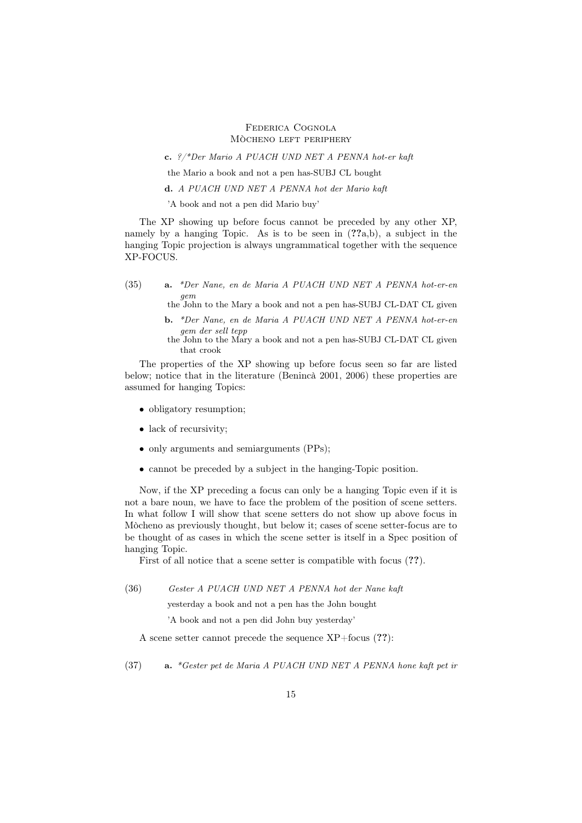c. ?/\*Der Mario A PUACH UND NET A PENNA hot-er kaft

the Mario a book and not a pen has-SUBJ CL bought

d. A PUACH UND NET A PENNA hot der Mario kaft

'A book and not a pen did Mario buy'

The XP showing up before focus cannot be preceded by any other XP, namely by a hanging Topic. As is to be seen in  $(??a,b)$ , a subject in the hanging Topic projection is always ungrammatical together with the sequence XP-FOCUS.

(35) a. \*Der Nane, en de Maria A PUACH UND NET A PENNA hot-er-en gem

the John to the Mary a book and not a pen has-SUBJ CL-DAT CL given

- b. \*Der Nane, en de Maria A PUACH UND NET A PENNA hot-er-en gem der sell tepp
- the John to the Mary a book and not a pen has-SUBJ CL-DAT CL given that crook

The properties of the XP showing up before focus seen so far are listed below; notice that in the literature (Benincà 2001, 2006) these properties are assumed for hanging Topics:

- obligatory resumption;
- lack of recursivity;
- only arguments and semiarguments (PPs);
- cannot be preceded by a subject in the hanging-Topic position.

Now, if the XP preceding a focus can only be a hanging Topic even if it is not a bare noun, we have to face the problem of the position of scene setters. In what follow I will show that scene setters do not show up above focus in Mòcheno as previously thought, but below it; cases of scene setter-focus are to be thought of as cases in which the scene setter is itself in a Spec position of hanging Topic.

First of all notice that a scene setter is compatible with focus  $(??)$ .

(36) Gester A PUACH UND NET A PENNA hot der Nane kaft

yesterday a book and not a pen has the John bought

'A book and not a pen did John buy yesterday'

A scene setter cannot precede the sequence  $XP+focus(??)$ :

(37) a. \*Gester pet de Maria A PUACH UND NET A PENNA hone kaft pet ir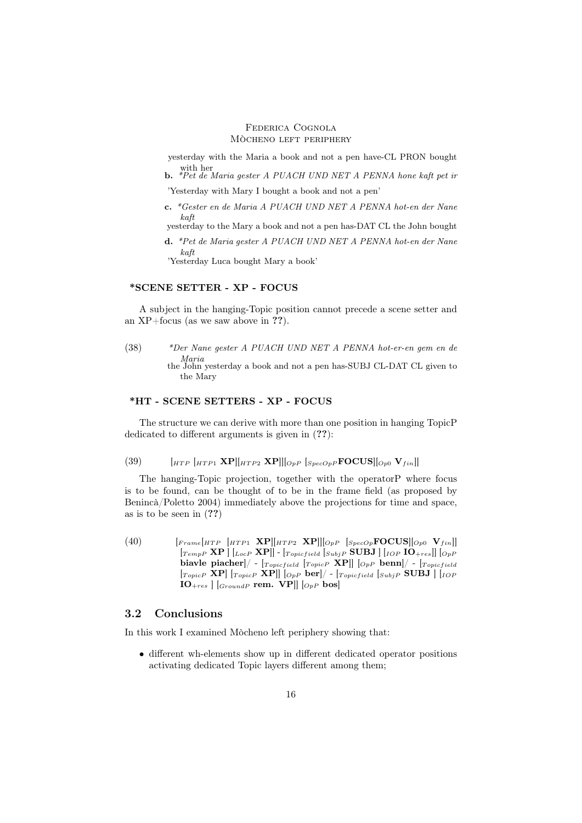yesterday with the Maria a book and not a pen have-CL PRON bought with her<br> **b.** \*Pet de Maria gester A PUACH UND NET A PENNA hone kaft pet in

'Yesterday with Mary I bought a book and not a pen'

c. \*Gester en de Maria A PUACH UND NET A PENNA hot-en der Nane kaft

yesterday to the Mary a book and not a pen has-DAT CL the John bought

d. \*Pet de Maria gester A PUACH UND NET A PENNA hot-en der Nane kaft 'Yesterday Luca bought Mary a book'

## \*SCENE SETTER - XP - FOCUS

A subject in the hanging-Topic position cannot precede a scene setter and an XP+focus (as we saw above in ??).

(38) \*Der Nane gester A PUACH UND NET A PENNA hot-er-en gem en de Maria the John yesterday a book and not a pen has-SUBJ CL-DAT CL given to the Mary

## \*HT - SCENE SETTERS - XP - FOCUS

The structure we can derive with more than one position in hanging TopicP dedicated to different arguments is given in (??):

# (39)  $\left[_{HTP}\right]_{HTP1} \mathbf{X} \mathbf{P} \left|\left[\right]_{HTP2} \mathbf{X} \mathbf{P}\right] \left|\left[\right]_{OpP}\right]_{SpecOpP} \mathbf{FOCUS} \left|\left[\right]_{Op0} \mathbf{V}_{fin}\right|$

The hanging-Topic projection, together with the operatorP where focus is to be found, can be thought of to be in the frame field (as proposed by Benincà/Poletto 2004) immediately above the projections for time and space, as is to be seen in (??)

(40)  $\begin{bmatrix} [F_{rame}[HTP & [HTP1 & \mathbf{XP}]][HTP2 & \mathbf{XP}]] [O_{pP} & [S_{pecOp} \mathbf{FOCUS}][O_{p0} & V_{fin}] \end{bmatrix}$  $\begin{bmatrix}$  [TempP XP ]  $\begin{bmatrix}$  [LocP XP]] -  $\begin{bmatrix}$  [Topicfield  $\begin{bmatrix}$  SUBJ ]  $\end{bmatrix}$  [IO +  $\begin{bmatrix}$  IO +  $res \end{bmatrix}$ ]  $\begin{bmatrix}$   $\begin{bmatrix}$   $\end{bmatrix}$ biavle piacher]/ -  $T_{\text{projectied}}$   $T_{\text{projected}}$   $\sum_{P}$   $\sum_{P}$  benn]/ -  $T_{\text{projected}}$  $[T_{\text{opicP}}$  XP]  $[T_{\text{projectP}}$  XP]]  $[O_{\text{PP}}$  ber]/ -  $[T_{\text{projectield}} |_{\text{SubjP}}$  SUBJ  $]$  [IOP  $IO<sub>+res</sub> | [GroundP$  rem.  $VP|| [O<sub>pP</sub> bos]$ 

# 3.2 Conclusions

In this work I examined Mòcheno left periphery showing that:

• different wh-elements show up in different dedicated operator positions activating dedicated Topic layers different among them;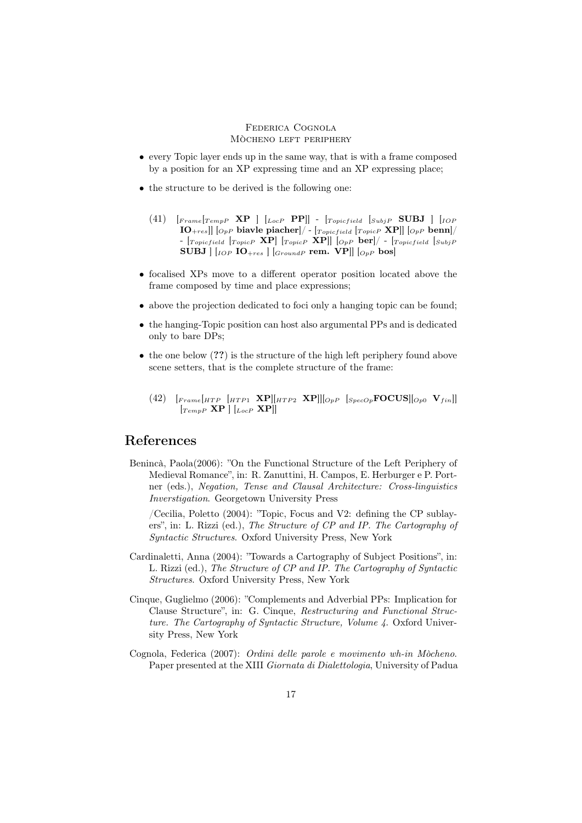- every Topic layer ends up in the same way, that is with a frame composed by a position for an XP expressing time and an XP expressing place;
- the structure to be derived is the following one:
	- $(41)$   $\begin{bmatrix} F \n\text{rame} \end{bmatrix}$  $\begin{bmatrix} T \text{empP} \end{bmatrix}$   $\begin{bmatrix} I \text{loc} P \end{bmatrix}$   $\begin{bmatrix} T \text{opicfield} \end{bmatrix}$  $\begin{bmatrix} S \text{ubj} P \end{bmatrix}$   $\begin{bmatrix} I \text{OP} \end{bmatrix}$  $\left[\text{IO}_{+res}\right] |_{\text{OpP}}$  biavle piacher $\left| / \cdot \right|_{\text{Topic field}}$   $\left| \overline{_{\text{TopicP}}}$   $\text{XP} \right] |_{\text{OpP}}$  benn $\left| / \right|$ -  $[_{TopicP} \ \mathbf{XP}]$   $[_{TopicP} \ \mathbf{XP}]$   $[_{TopicP} \ \mathbf{XP}]$   $[_{OpP} \ \mathbf{ber}] /$  -  $[_{Topicfield} \ [_{SubjP}$  $\textbf{SUBJ} |$   $\lceil_{IOP} \textbf{IO}_{+res} \rceil$   $\lceil_{GroupdP} \textbf{rem. VP} \rceil$   $\lceil_{OpP} \textbf{bos} \rceil$
- focalised XPs move to a different operator position located above the frame composed by time and place expressions;
- above the projection dedicated to foci only a hanging topic can be found;
- the hanging-Topic position can host also argumental PPs and is dedicated only to bare DPs;
- the one below (??) is the structure of the high left periphery found above scene setters, that is the complete structure of the frame:
	- (42)  $\left[$   $_{Frame}$  $\left[$   $_{HTP1}$   $\bf{XP}$  $\right]$  $\left[$   $_{HTP2}$   $\bf{XP}$  $\right]$  $\left[$   $_{OpP}$   $\left[$   $_{SpecOp}$  $\bf{FOCUS}$  $\right]$  $\left[$   $_{Op0}$   $\bf{V}_{fin}$  $\right]$  $[T_{empP}$   $\mathbf{XP}$   $|$   $|_{LocP}$   $\mathbf{XP}$  $|$

# References

Benincà, Paola(2006): "On the Functional Structure of the Left Periphery of Medieval Romance", in: R. Zanuttini, H. Campos, E. Herburger e P. Portner (eds.), Negation, Tense and Clausal Architecture: Cross-linguistics Inverstigation. Georgetown University Press

/Cecilia, Poletto (2004): "Topic, Focus and V2: defining the CP sublayers", in: L. Rizzi (ed.), The Structure of CP and IP. The Cartography of Syntactic Structures. Oxford University Press, New York

- Cardinaletti, Anna (2004): "Towards a Cartography of Subject Positions", in: L. Rizzi (ed.), The Structure of CP and IP. The Cartography of Syntactic Structures. Oxford University Press, New York
- Cinque, Guglielmo (2006): "Complements and Adverbial PPs: Implication for Clause Structure", in: G. Cinque, Restructuring and Functional Structure. The Cartography of Syntactic Structure, Volume 4. Oxford University Press, New York
- Cognola, Federica (2007): Ordini delle parole e movimento wh-in Mòcheno. Paper presented at the XIII Giornata di Dialettologia, University of Padua